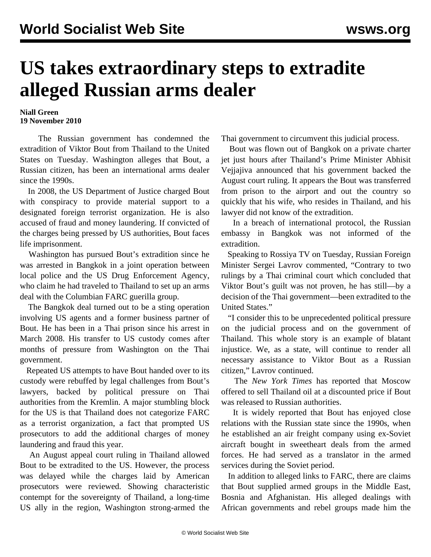## **US takes extraordinary steps to extradite alleged Russian arms dealer**

## **Niall Green 19 November 2010**

 The Russian government has condemned the extradition of Viktor Bout from Thailand to the United States on Tuesday. Washington alleges that Bout, a Russian citizen, has been an international arms dealer since the 1990s.

 In 2008, the US Department of Justice charged Bout with conspiracy to provide material support to a designated foreign terrorist organization. He is also accused of fraud and money laundering. If convicted of the charges being pressed by US authorities, Bout faces life imprisonment.

 Washington has pursued Bout's extradition since he was arrested in Bangkok in a joint operation between local police and the US Drug Enforcement Agency, who claim he had traveled to Thailand to set up an arms deal with the Columbian FARC guerilla group.

 The Bangkok deal turned out to be a sting operation involving US agents and a former business partner of Bout. He has been in a Thai prison since his arrest in March 2008. His transfer to US custody comes after months of pressure from Washington on the Thai government.

 Repeated US attempts to have Bout handed over to its custody were rebuffed by legal challenges from Bout's lawyers, backed by political pressure on Thai authorities from the Kremlin. A major stumbling block for the US is that Thailand does not categorize FARC as a terrorist organization, a fact that prompted US prosecutors to add the additional charges of money laundering and fraud this year.

 An August appeal court ruling in Thailand allowed Bout to be extradited to the US. However, the process was delayed while the charges laid by American prosecutors were reviewed. Showing characteristic contempt for the sovereignty of Thailand, a long-time US ally in the region, Washington strong-armed the Thai government to circumvent this judicial process.

 Bout was flown out of Bangkok on a private charter jet just hours after Thailand's Prime Minister Abhisit Vejjajiva announced that his government backed the August court ruling. It appears the Bout was transferred from prison to the airport and out the country so quickly that his wife, who resides in Thailand, and his lawyer did not know of the extradition.

 In a breach of international protocol, the Russian embassy in Bangkok was not informed of the extradition.

 Speaking to Rossiya TV on Tuesday, Russian Foreign Minister Sergei Lavrov commented, "Contrary to two rulings by a Thai criminal court which concluded that Viktor Bout's guilt was not proven, he has still—by a decision of the Thai government—been extradited to the United States."

 "I consider this to be unprecedented political pressure on the judicial process and on the government of Thailand. This whole story is an example of blatant injustice. We, as a state, will continue to render all necessary assistance to Viktor Bout as a Russian citizen," Lavrov continued.

 The *New York Times* has reported that Moscow offered to sell Thailand oil at a discounted price if Bout was released to Russian authorities.

 It is widely reported that Bout has enjoyed close relations with the Russian state since the 1990s, when he established an air freight company using ex-Soviet aircraft bought in sweetheart deals from the armed forces. He had served as a translator in the armed services during the Soviet period.

 In addition to alleged links to FARC, there are claims that Bout supplied armed groups in the Middle East, Bosnia and Afghanistan. His alleged dealings with African governments and rebel groups made him the